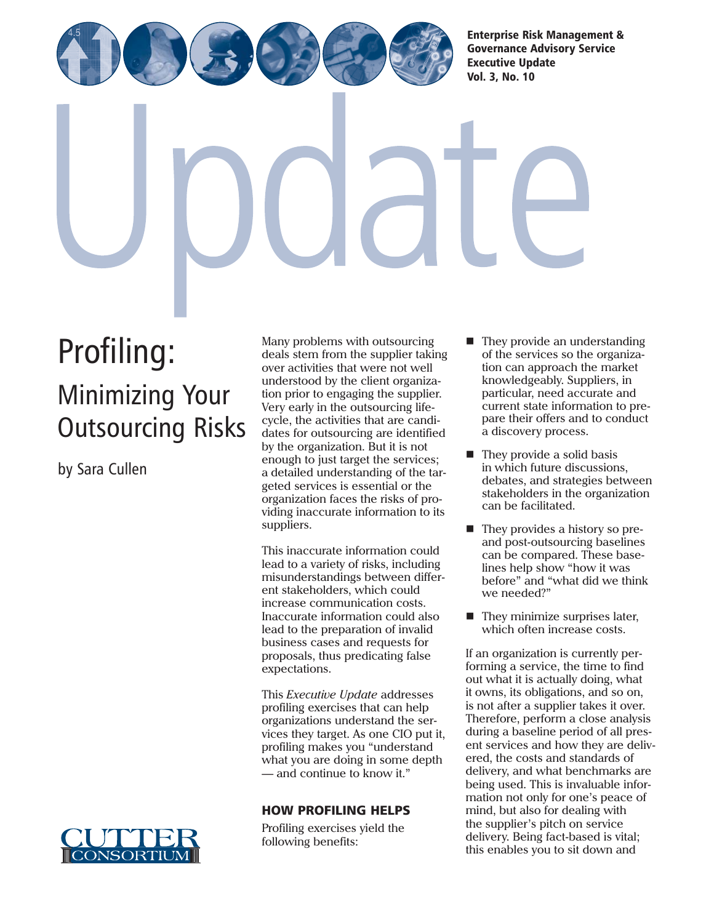[Enterprise Risk Management &](http://www.cutter.com) Governance Advisory Service

# Executive Update Vol. 3, No. 10

# Profiling: Minimizing Your [Outsourcing Risks](http://www.cutter.com)

by Sara Cullen

Many problems with outsourcing deals stem from the supplier taking over activities that were not well understood by the client organization prior to engaging the supplier. Very early in the outsourcing lifecycle, the activities that are candidates for outsourcing are identified by the organization. But it is not enough to just target the services; a detailed understanding of the targeted services is essential or the organization faces the risks of providing inaccurate information to its suppliers.

This inaccurate information could lead to a variety of risks, including misunderstandings between different stakeholders, which could increase communication costs. Inaccurate information could also lead to the preparation of invalid business cases and requests for proposals, thus predicating false expectations.

This *Executive Update* addresses profiling exercises that can help organizations understand the services they target. As one CIO put it, profiling makes you "understand what you are doing in some depth — and continue to know it."

# HOW PROFILING HELPS

Profiling exercises yield the following benefits:

- They provide an understanding of the services so the organization can approach the market knowledgeably. Suppliers, in particular, need accurate and current state information to prepare their offers and to conduct a discovery process.
- $\blacksquare$  They provide a solid basis in which future discussions, debates, and strategies between stakeholders in the organization can be facilitated.
- $\blacksquare$  They provides a history so preand post-outsourcing baselines can be compared. These baselines help show "how it was before" and "what did we think we needed?"
- $\blacksquare$  They minimize surprises later, which often increase costs.

If an organization is currently performing a service, the time to find out what it is actually doing, what it owns, its obligations, and so on, is not after a supplier takes it over. Therefore, perform a close analysis during a baseline period of all present services and how they are delivered, the costs and standards of delivery, and what benchmarks are being used. This is invaluable information not only for one's peace of mind, but also for dealing with the supplier's pitch on service delivery. Being fact-based is vital; this enables you to sit down and

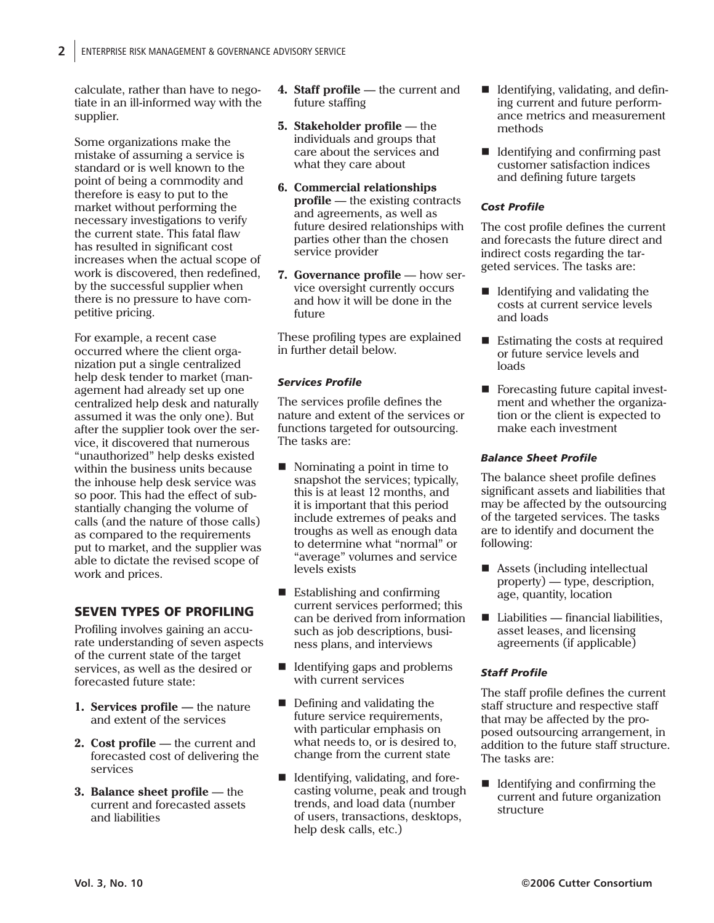calculate, rather than have to negotiate in an ill-informed way with the supplier.

Some organizations make the mistake of assuming a service is standard or is well known to the point of being a commodity and therefore is easy to put to the market without performing the necessary investigations to verify the current state. This fatal flaw has resulted in significant cost increases when the actual scope of work is discovered, then redefined, by the successful supplier when there is no pressure to have competitive pricing.

For example, a recent case occurred where the client organization put a single centralized help desk tender to market (management had already set up one centralized help desk and naturally assumed it was the only one). But after the supplier took over the service, it discovered that numerous "unauthorized" help desks existed within the business units because the inhouse help desk service was so poor. This had the effect of substantially changing the volume of calls (and the nature of those calls) as compared to the requirements put to market, and the supplier was able to dictate the revised scope of work and prices.

# SEVEN TYPES OF PROFILING

Profiling involves gaining an accurate understanding of seven aspects of the current state of the target services, as well as the desired or forecasted future state:

- **1. Services profile** the nature and extent of the services
- **2. Cost profile** the current and forecasted cost of delivering the services
- **3. Balance sheet profile** the current and forecasted assets and liabilities
- **4. Staff profile** the current and future staffing
- **5. Stakeholder profile** the individuals and groups that care about the services and what they care about
- **6. Commercial relationships profile** — the existing contracts and agreements, as well as future desired relationships with parties other than the chosen service provider
- **7. Governance profile** how service oversight currently occurs and how it will be done in the future

These profiling types are explained in further detail below.

#### *Services Profile*

The services profile defines the nature and extent of the services or functions targeted for outsourcing. The tasks are:

- $\blacksquare$  Nominating a point in time to snapshot the services; typically, this is at least 12 months, and it is important that this period include extremes of peaks and troughs as well as enough data to determine what "normal" or "average" volumes and service levels exists
- Establishing and confirming current services performed; this can be derived from information such as job descriptions, business plans, and interviews
- Identifying gaps and problems with current services
- Defining and validating the future service requirements, with particular emphasis on what needs to, or is desired to, change from the current state
- $\blacksquare$  Identifying, validating, and forecasting volume, peak and trough trends, and load data (number of users, transactions, desktops, help desk calls, etc.)
- Identifying, validating, and defining current and future performance metrics and measurement methods
- Identifying and confirming past customer satisfaction indices and defining future targets

# *Cost Profile*

The cost profile defines the current and forecasts the future direct and indirect costs regarding the targeted services. The tasks are:

- $\blacksquare$  Identifying and validating the costs at current service levels and loads
- Estimating the costs at required or future service levels and loads
- Forecasting future capital investment and whether the organization or the client is expected to make each investment

# *Balance Sheet Profile*

The balance sheet profile defines significant assets and liabilities that may be affected by the outsourcing of the targeted services. The tasks are to identify and document the following:

- Assets (including intellectual property) — type, description, age, quantity, location
- $\blacksquare$  Liabilities financial liabilities, asset leases, and licensing agreements (if applicable)

# *Staff Profile*

The staff profile defines the current staff structure and respective staff that may be affected by the proposed outsourcing arrangement, in addition to the future staff structure. The tasks are:

 $\blacksquare$  Identifying and confirming the current and future organization structure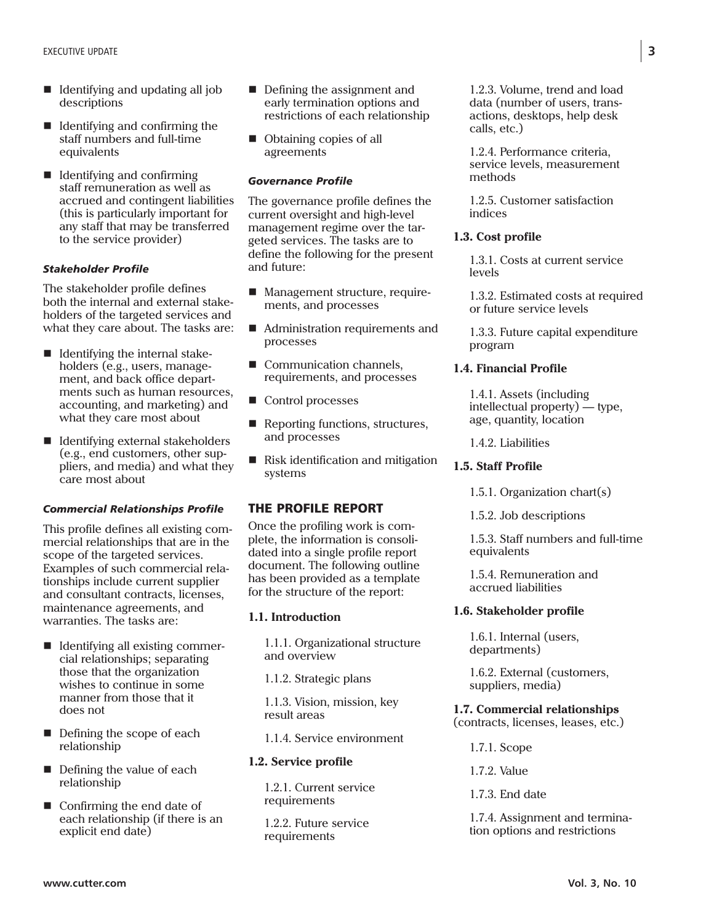- Identifying and updating all job descriptions
- $\blacksquare$  Identifying and confirming the staff numbers and full-time equivalents
- $\blacksquare$  Identifying and confirming staff remuneration as well as accrued and contingent liabilities (this is particularly important for any staff that may be transferred to the service provider)

#### *Stakeholder Profile*

The stakeholder profile defines both the internal and external stakeholders of the targeted services and what they care about. The tasks are:

- $\blacksquare$  Identifying the internal stakeholders (e.g., users, management, and back office departments such as human resources, accounting, and marketing) and what they care most about
- Identifying external stakeholders (e.g., end customers, other suppliers, and media) and what they care most about

#### *Commercial Relationships Profile*

This profile defines all existing commercial relationships that are in the scope of the targeted services. Examples of such commercial relationships include current supplier and consultant contracts, licenses, maintenance agreements, and warranties. The tasks are:

- Identifying all existing commercial relationships; separating those that the organization wishes to continue in some manner from those that it does not
- Defining the scope of each relationship
- Defining the value of each relationship
- Confirming the end date of each relationship (if there is an explicit end date)
- Defining the assignment and early termination options and restrictions of each relationship
- Obtaining copies of all agreements

#### *Governance Profile*

The governance profile defines the current oversight and high-level management regime over the targeted services. The tasks are to define the following for the present and future:

- Management structure, requirements, and processes
- Administration requirements and processes
- Communication channels, requirements, and processes
- Control processes
- Reporting functions, structures, and processes
- Risk identification and mitigation systems

# THE PROFILE REPORT

Once the profiling work is complete, the information is consolidated into a single profile report document. The following outline has been provided as a template for the structure of the report:

#### **1.1. Introduction**

1.1.1. Organizational structure and overview

1.1.2. Strategic plans

1.1.3. Vision, mission, key result areas

1.1.4. Service environment

#### **1.2. Service profile**

1.2.1. Current service requirements

1.2.2. Future service requirements

1.2.3. Volume, trend and load data (number of users, transactions, desktops, help desk calls, etc.)

1.2.4. Performance criteria, service levels, measurement methods

1.2.5. Customer satisfaction indices

#### **1.3. Cost profile**

1.3.1. Costs at current service levels

1.3.2. Estimated costs at required or future service levels

1.3.3. Future capital expenditure program

#### **1.4. Financial Profile**

1.4.1. Assets (including intellectual property) — type, age, quantity, location

1.4.2. Liabilities

#### **1.5. Staff Profile**

1.5.1. Organization chart(s)

1.5.2. Job descriptions

1.5.3. Staff numbers and full-time equivalents

1.5.4. Remuneration and accrued liabilities

#### **1.6. Stakeholder profile**

1.6.1. Internal (users, departments)

1.6.2. External (customers, suppliers, media)

#### **1.7. Commercial relationships**

(contracts, licenses, leases, etc.)

1.7.1. Scope

1.7.2. Value

1.7.3. End date

1.7.4. Assignment and termination options and restrictions